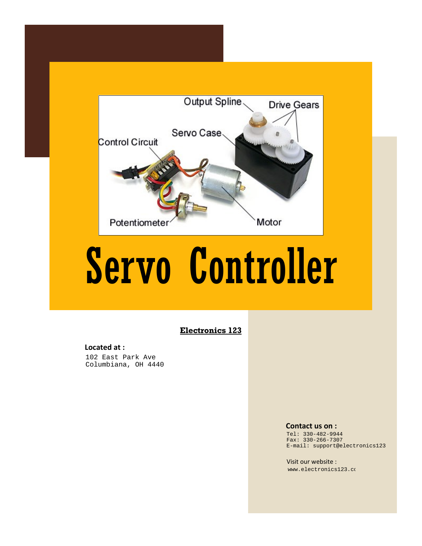

# Servo Controller

#### **Electronics 123**

#### **Located at :**

102 East Park Ave Columbiana, OH 4440

#### **Contact us on :**

Tel: 330-482-9944 Fax: 330-266-7307 E-mail: support@electronics123

Visit our website : [www.electronics12](http://www.electronics123.co.za)3.com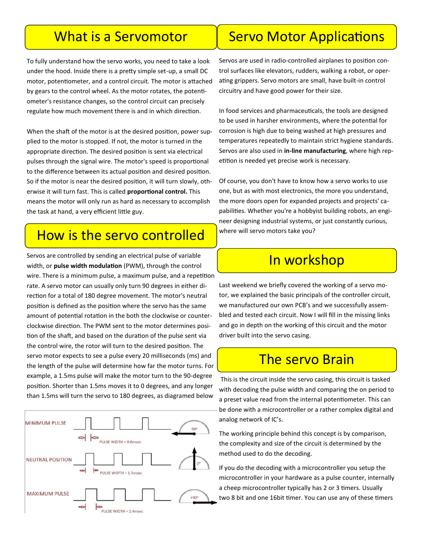#### What is a Servomotor

To fully understand how the servo works, you need to take a look under the hood. Inside there is a pretty simple set-up, a small [DC](http://www.jameco.com/webapp/wcs/stores/servlet/JamecoSearch?langId=-1&storeId=10001&catalogId=10001&categoryName=category_root&subCategoryName=Electromechanical&category=35&refine=1&position=1&history=28hlc38h%7CfreeText%7Edc%2Bmotor%5Esearch_type%7Ejamecoal)  [motor,](http://www.jameco.com/webapp/wcs/stores/servlet/JamecoSearch?langId=-1&storeId=10001&catalogId=10001&categoryName=category_root&subCategoryName=Electromechanical&category=35&refine=1&position=1&history=28hlc38h%7CfreeText%7Edc%2Bmotor%5Esearch_type%7Ejamecoal) [potentiometer,](http://www.jameco.com/webapp/wcs/stores/servlet/JamecoSearch?langId=-1&storeId=10001&catalogId=10001&categoryName=category_root&subCategoryName=Passive%20Components&category=20&refine=1&position=1&history=d0ww5ora%7CfreeText%7Epotentiometer%5Esearch_type%7Eja) and a control circuit. The motor is attached by gears to the control wheel. As the motor rotates, the potentiometer's resistance changes, so the control circuit can precisely regulate how much movement there is and in which direction.

When the shaft of the motor is at the desired position, [power](http://www.jameco.com/webapp/wcs/stores/servlet/JamecoSearch?langId=-1&storeId=10001&catalogId=10001&categoryName=category_root&subCategoryName=Power%20Supplies%20%26%20Wall%20Adapters&category=45) supplied to the motor is stopped. If not, the motor is turned in the appropriate direction. The desired position is sent via electrical pulses through the [signal wire.](http://www.jameco.com/webapp/wcs/stores/servlet/JamecoSearch?langId=-1&storeId=10001&catalogId=10001&categoryName=cat_25&subCategoryName=Wire%20%26%20Cable%20%2F%20Bulk%20Wire&category=2550&refine=1&position=1&history=wus4q9hh%7CsubCategoryName%7EWire%2B%2526) The motor's speed is proportional to the difference between its actual position and desired position. So if the motor is near the desired position, it will turn slowly, otherwise it will turn fast. This is called **proportional control.** This means the motor will only run as hard as necessary to accomplish the task at hand, a very efficient little guy.

#### How is the servo controlled

Servos are controlled by sending an electrical pulse of variable width, or **pulse width modulation** (PWM), through the control wire. There is a minimum pulse, a maximum pulse, and a repetition rate. A servo motor can usually only turn 90 degrees in either direction for a total of 180 degree movement. The motor's neutral position is defined as the position where the servo has the same amount of potential rotation in the both the clockwise or counterclockwise direction. The PWM sent to the [motor](http://www.jameco.com/webapp/wcs/stores/servlet/JamecoSearch?langId=-1&storeId=10001&catalogId=10001&freeText=motor&search_type=jamecoall) determines position of the shaft, and based on the duration of the pulse sent via the control wire, the [rotor](http://www.jameco.com/webapp/wcs/stores/servlet/JamecoSearch?langId=-1&storeId=10001&catalogId=10001&categoryName=cat_3540&subCategoryName=Electromechanical%20%2F%20Switches%20%2F%20Rotary&category=354055&refine=1&position=1&history=kv7hqebe%7CfreeText%7Eroto) will turn to the desired position. The servo motor expects to see a pulse every 20 milliseconds (ms) and the length of the pulse will determine how far the motor turns. For example, a 1.5ms pulse will make the motor turn to the 90-degree position. Shorter than 1.5ms moves it to 0 degrees, and any longer than 1.5ms will turn the servo to 180 degrees, as diagramed below



## Servo Motor Applications

Servos are used in radio-[controlled airplanes](http://www.amazon.com/gp/product/B002B0N5R2/ref=as_li_qf_sp_asin_tl?ie=UTF8&camp=1789&creative=9325&creativeASIN=B002B0N5R2&linkCode=as2&tag=jameco0b-20) to position control surfaces like elevators, [rudders,](http://www.amazon.com/gp/product/B000H67DDY/ref=as_li_tf_tl?ie=UTF8&camp=1789&creative=9325&creativeASIN=B000H67DDY&linkCode=as2&tag=jameco0b-20) walking a [robot,](http://www.jameco.com/webapp/wcs/stores/servlet/JamecoSearch?langId=-1&storeId=10001&catalogId=10001&categoryName=category_root&subCategoryName=Robotics&category=75&refine=1&position=1&history=r6g8kbm7%7CfreeText%7Erobot%2Bkit%5esearch_type%7Ejame) or operating [grippers.](http://www.jameco.com/webapp/wcs/stores/servlet/ProductDisplay?langId=-1&productId=358811&position=1&category=7540&catalogId=10001&subCategoryName=Robotics+%2F+Mechanical&storeId=10001&refine=1&app.products.maxperpage=15&parentCategoryId=75%24%247540&categ) Servo motors are small, have built-in control circuitry and have good power for their size.

In food services and pharmaceuticals, the tools are designed to be used in harsher environments, where the potential for corrosion is high due to being washed at high pressures and temperatures repeatedly to maintain strict hygiene standards. Servos are also used in **in-line manufacturing**, where high repetition is needed yet precise work is necessary.

Of course, you don't have to know how a servo works to use one, but as with most electronics, the more you understand, the more doors open for [expanded projects](http://www.jameco.com/Jameco/Pressroom/DIY.html) and projects' capabilities. Whether you're a [hobbyist building robots,](http://www.jameco.com/Jameco/workshop/diy/rodney.html) an engineer designing industrial systems, or just constantly curious, where will servo motors take you?

#### In workshop

Last weekend we briefly covered the working of a servo motor, we explained the basic principals of the controller circuit, we manufactured our own PCB's and we successfully assembled and tested each circuit. Now I will fill in the missing links and go in depth on the working of this circuit and the motor driver built into the servo casing.

#### The servo Brain

This is the circuit inside the servo casing, this circuit is tasked with decoding the pulse width and comparing the on period to a preset value read from the internal potentiometer. This can be done with a microcontroller or a rather complex digital and analog network of IC's.

The working principle behind this concept is by comparison, the complexity and size of the circuit is determined by the method used to do the decoding.

If you do the decoding with a microcontroller you setup the microcontroller in your hardware as a pulse counter, internally a cheep microcontroller typically has 2 or 3 timers. Usually two 8 bit and one 16bit timer. You can use any of these timers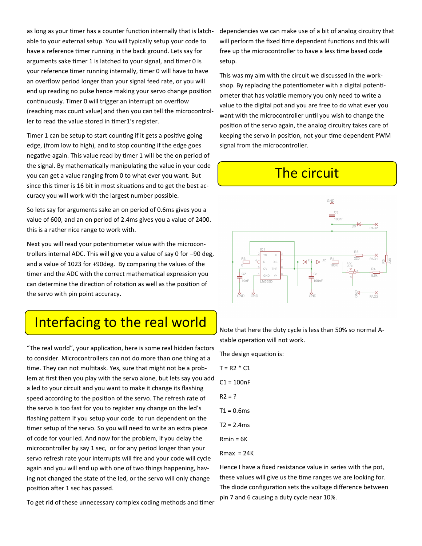as long as your timer has a counter function internally that is latchable to your external setup. You will typically setup your code to have a reference timer running in the back ground. Lets say for arguments sake timer 1 is latched to your signal, and timer 0 is your reference timer running internally, timer 0 will have to have an overflow period longer than your signal feed rate, or you will end up reading no pulse hence making your servo change position continuously. Timer 0 will trigger an interrupt on overflow (reaching max count value) and then you can tell the microcontroller to read the value stored in timer1's register.

Timer 1 can be setup to start counting if it gets a positive going edge, (from low to high), and to stop counting if the edge goes negative again. This value read by timer 1 will be the on period of the signal. By mathematically manipulating the value in your code you can get a value ranging from 0 to what ever you want. But since this timer is 16 bit in most situations and to get the best accuracy you will work with the largest number possible.

So lets say for arguments sake an on period of 0.6ms gives you a value of 600, and an on period of 2.4ms gives you a value of 2400. this is a rather nice range to work with.

Next you will read your potentiometer value with the microcontrollers internal ADC. This will give you a value of say 0 for –90 deg, and a value of 1023 for +90deg. By comparing the values of the timer and the ADC with the correct mathematical expression you can determine the direction of rotation as well as the position of the servo with pin point accuracy.

### Interfacing to the real world

"The real world", your application, here is some real hidden factors to consider. Microcontrollers can not do more than one thing at a time. They can not multitask. Yes, sure that might not be a problem at first then you play with the servo alone, but lets say you add a led to your circuit and you want to make it change its flashing speed according to the position of the servo. The refresh rate of the servo is too fast for you to register any change on the led's flashing pattern if you setup your code to run dependent on the timer setup of the servo. So you will need to write an extra piece of code for your led. And now for the problem, if you delay the microcontroller by say 1 sec, or for any period longer than your servo refresh rate your interrupts will fire and your code will cycle again and you will end up with one of two things happening, having not changed the state of the led, or the servo will only change position after 1 sec has passed.

dependencies we can make use of a bit of analog circuitry that will perform the fixed time dependent functions and this will free up the microcontroller to have a less time based code setup.

This was my aim with the circuit we discussed in the workshop. By replacing the potentiometer with a digital potentiometer that has volatile memory you only need to write a value to the digital pot and you are free to do what ever you want with the microcontroller until you wish to change the position of the servo again, the analog circuitry takes care of keeping the servo in position, not your time dependent PWM signal from the microcontroller.

## The circuit



Note that here the duty cycle is less than 50% so normal Astable operation will not work.

The design equation is:

 $T = R2 * C1$  $C1 = 100nF$  $R2 = ?$  $T1 = 0.6$ ms  $T2 = 2.4$ ms  $Rmin = 6K$  $Rmax = 24K$ 

Hence I have a fixed resistance value in series with the pot, these values will give us the time ranges we are looking for. The diode configuration sets the voltage difference between pin 7 and 6 causing a duty cycle near 10%.

To get rid of these unnecessary complex coding methods and timer